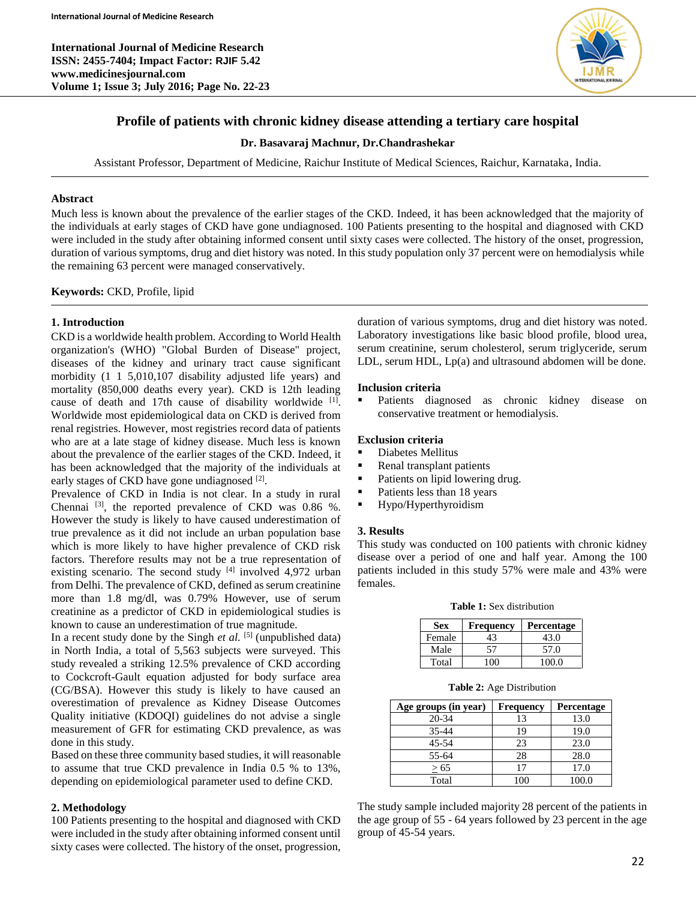**International Journal of Medicine Research ISSN: 2455-7404; Impact Factor: RJIF 5.42 www.medicinesjournal.com Volume 1; Issue 3; July 2016; Page No. 22-23**



# **Profile of patients with chronic kidney disease attending a tertiary care hospital**

### **Dr. Basavaraj Machnur, Dr.Chandrashekar**

Assistant Professor, Department of Medicine, Raichur Institute of Medical Sciences, Raichur, Karnataka, India.

## **Abstract**

Much less is known about the prevalence of the earlier stages of the CKD. Indeed, it has been acknowledged that the majority of the individuals at early stages of CKD have gone undiagnosed. 100 Patients presenting to the hospital and diagnosed with CKD were included in the study after obtaining informed consent until sixty cases were collected. The history of the onset, progression, duration of various symptoms, drug and diet history was noted. In this study population only 37 percent were on hemodialysis while the remaining 63 percent were managed conservatively.

**Keywords:** CKD, Profile, lipid

### **1. Introduction**

CKD is a worldwide health problem. According to World Health organization's (WHO) "Global Burden of Disease" project, diseases of the kidney and urinary tract cause significant morbidity (1 1 5,010,107 disability adjusted life years) and mortality (850,000 deaths every year). CKD is 12th leading cause of death and 17th cause of disability worldwide [1]. Worldwide most epidemiological data on CKD is derived from renal registries. However, most registries record data of patients who are at a late stage of kidney disease. Much less is known about the prevalence of the earlier stages of the CKD. Indeed, it has been acknowledged that the majority of the individuals at early stages of CKD have gone undiagnosed [2].

Prevalence of CKD in India is not clear. In a study in rural Chennai  $^{[3]}$ , the reported prevalence of CKD was 0.86 %. However the study is likely to have caused underestimation of true prevalence as it did not include an urban population base which is more likely to have higher prevalence of CKD risk factors. Therefore results may not be a true representation of existing scenario. The second study  $[4]$  involved 4,972 urban from Delhi. The prevalence of CKD, defined as serum creatinine more than 1.8 mg/dl, was 0.79% However, use of serum creatinine as a predictor of CKD in epidemiological studies is known to cause an underestimation of true magnitude.

In a recent study done by the Singh  $et$   $al$ .  $[5]$  (unpublished data) in North India, a total of 5,563 subjects were surveyed. This study revealed a striking 12.5% prevalence of CKD according to Cockcroft-Gault equation adjusted for body surface area (CG/BSA). However this study is likely to have caused an overestimation of prevalence as Kidney Disease Outcomes Quality initiative (KDOQI) guidelines do not advise a single measurement of GFR for estimating CKD prevalence, as was done in this study.

Based on these three community based studies, it will reasonable to assume that true CKD prevalence in India 0.5 % to 13%, depending on epidemiological parameter used to define CKD.

## **2. Methodology**

100 Patients presenting to the hospital and diagnosed with CKD were included in the study after obtaining informed consent until sixty cases were collected. The history of the onset, progression, duration of various symptoms, drug and diet history was noted. Laboratory investigations like basic blood profile, blood urea, serum creatinine, serum cholesterol, serum triglyceride, serum LDL, serum HDL, Lp(a) and ultrasound abdomen will be done.

### **Inclusion criteria**

 Patients diagnosed as chronic kidney disease on conservative treatment or hemodialysis.

### **Exclusion criteria**

- Diabetes Mellitus
- Renal transplant patients
- Patients on lipid lowering drug.
- Patients less than 18 years
- Hypo/Hyperthyroidism

#### **3. Results**

This study was conducted on 100 patients with chronic kidney disease over a period of one and half year. Among the 100 patients included in this study 57% were male and 43% were females.

**Table 1:** Sex distribution

| Sex    | Frequency | <b>Percentage</b> |
|--------|-----------|-------------------|
| Female |           | 43.0              |
| Male   | 57        | 57.0              |
| Total  |           | 100 0             |

**Table 2:** Age Distribution

| Age groups (in year) | Frequency | <b>Percentage</b> |  |
|----------------------|-----------|-------------------|--|
| 20-34                | 13        | 13.0              |  |
| 35-44                | 19        | 19.0              |  |
| 45-54                | 23        | 23.0              |  |
| 55-64                | 28        | 28.0              |  |
| > 65                 | 17        | 17.0              |  |
| Total                | 100       | 100.0             |  |

The study sample included majority 28 percent of the patients in the age group of 55 - 64 years followed by 23 percent in the age group of 45-54 years.